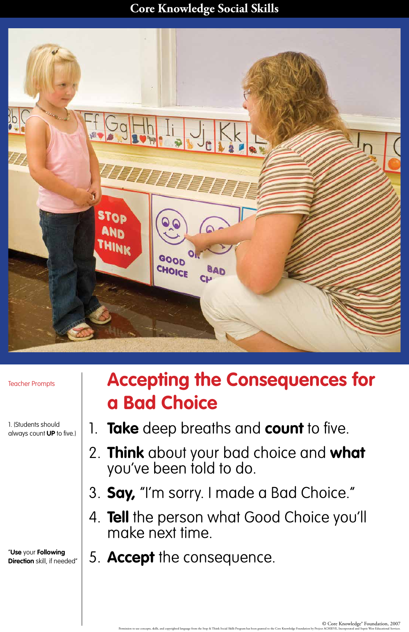## **Core Knowledge Social Skills**

© Core Knowledge® Foundation, 2007 Permission to use concepts, skills, and copyrighted language from the Stop & Think Social Skills Program has been granted to the Core Knowledge Foundation by Project ACHIEVE, Incorporated and Sopris West Educational Ser



## **Accepting the Consequences for a Bad Choice**

- 1. **Take** deep breaths and **count** to five.
- 2. **Think** about your bad choice and **what**

you've been told to do.

- 3. **Say,** "I'm sorry. I made a Bad Choice."
- 4. **Tell** the person what Good Choice you'll make next time.

5. **Accept** the consequence.

Teacher Prompts

1. (Students should always count **UP** to five.)

"**Use** your **Following Direction** skill, if needed"